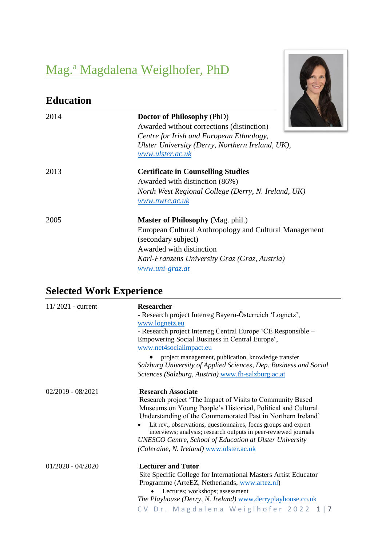# Mag.<sup>a</sup> Magdalena Weiglhofer, PhD



| 2014 | <b>Doctor of Philosophy (PhD)</b><br>Awarded without corrections (distinction)<br>Centre for Irish and European Ethnology, |
|------|----------------------------------------------------------------------------------------------------------------------------|
|      | Ulster University (Derry, Northern Ireland, UK),<br>www.ulster.ac.uk                                                       |
| 2013 | <b>Certificate in Counselling Studies</b>                                                                                  |
|      | Awarded with distinction (86%)                                                                                             |
|      | North West Regional College (Derry, N. Ireland, UK)<br>www.nwrc.ac.uk                                                      |
| 2005 | <b>Master of Philosophy</b> (Mag. phil.)                                                                                   |
|      | European Cultural Anthropology and Cultural Management                                                                     |
|      | (secondary subject)                                                                                                        |
|      | Awarded with distinction                                                                                                   |
|      | Karl-Franzens University Graz (Graz, Austria)<br>www.uni-graz.at                                                           |

## **Selected Work Experience**

**Education**

| $11/2021$ - current | <b>Researcher</b><br>- Research project Interreg Bayern-Österreich 'Lognetz',<br>www.lognetz.eu<br>- Research project Interreg Central Europe 'CE Responsible -<br>Empowering Social Business in Central Europe',<br>www.net4socialimpact.eu<br>project management, publication, knowledge transfer<br>Salzburg University of Applied Sciences, Dep. Business and Social<br>Sciences (Salzburg, Austria) www.fh-salzburg.ac.at                                      |
|---------------------|---------------------------------------------------------------------------------------------------------------------------------------------------------------------------------------------------------------------------------------------------------------------------------------------------------------------------------------------------------------------------------------------------------------------------------------------------------------------|
| $02/2019 - 08/2021$ | <b>Research Associate</b><br>Research project 'The Impact of Visits to Community Based<br>Museums on Young People's Historical, Political and Cultural<br>Understanding of the Commemorated Past in Northern Ireland'<br>Lit rev., observations, questionnaires, focus groups and expert<br>interviews; analysis; research outputs in peer-reviewed journals<br>UNESCO Centre, School of Education at Ulster University<br>(Coleraine, N. Ireland) www.ulster.ac.uk |
| $01/2020 - 04/2020$ | <b>Lecturer and Tutor</b><br>Site Specific College for International Masters Artist Educator<br>Programme (ArteEZ, Netherlands, www.artez.nl)<br>Lectures; workshops; assessment<br>The Playhouse (Derry, N. Ireland) www.derryplayhouse.co.uk<br>CV Dr. Magdalena Weiglhofer 2022 1 7                                                                                                                                                                              |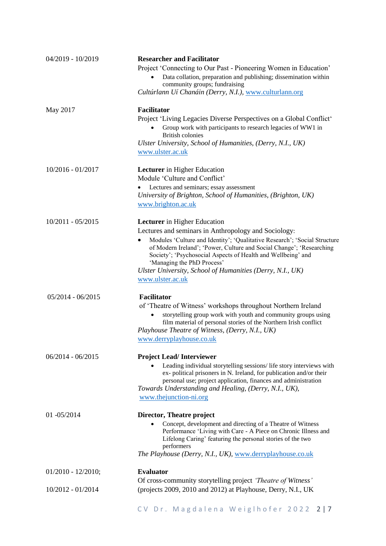| 04/2019 - 10/2019    | <b>Researcher and Facilitator</b><br>Project 'Connecting to Our Past - Pioneering Women in Education'<br>Data collation, preparation and publishing; dissemination within<br>community groups; fundraising<br>Cultúrlann Uí Chanáin (Derry, N.I.), www.culturlann.org                                                                                                                                                                |
|----------------------|--------------------------------------------------------------------------------------------------------------------------------------------------------------------------------------------------------------------------------------------------------------------------------------------------------------------------------------------------------------------------------------------------------------------------------------|
| May 2017             | <b>Facilitator</b><br>Project 'Living Legacies Diverse Perspectives on a Global Conflict'<br>Group work with participants to research legacies of WW1 in<br><b>British colonies</b><br>Ulster University, School of Humanities, (Derry, N.I., UK)<br>www.ulster.ac.uk                                                                                                                                                                |
| $10/2016 - 01/2017$  | <b>Lecturer</b> in Higher Education<br>Module 'Culture and Conflict'<br>Lectures and seminars; essay assessment<br>University of Brighton, School of Humanities, (Brighton, UK)<br>www.brighton.ac.uk                                                                                                                                                                                                                                |
| $10/2011 - 05/2015$  | <b>Lecturer</b> in Higher Education<br>Lectures and seminars in Anthropology and Sociology:<br>Modules 'Culture and Identity'; 'Qualitative Research'; 'Social Structure<br>٠<br>of Modern Ireland'; 'Power, Culture and Social Change'; 'Researching<br>Society'; 'Psychosocial Aspects of Health and Wellbeing' and<br>'Managing the PhD Process'<br>Ulster University, School of Humanities (Derry, N.I., UK)<br>www.ulster.ac.uk |
| $05/2014 - 06/2015$  | Facilitator<br>of 'Theatre of Witness' workshops throughout Northern Ireland<br>storytelling group work with youth and community groups using<br>film material of personal stories of the Northern Irish conflict<br>Playhouse Theatre of Witness, (Derry, N.I., UK)<br>www.derryplayhouse.co.uk                                                                                                                                     |
| $06/2014 - 06/2015$  | <b>Project Lead/Interviewer</b><br>Leading individual storytelling sessions/life story interviews with<br>ex-political prisoners in N. Ireland, for publication and/or their<br>personal use; project application, finances and administration<br>Towards Understanding and Healing, (Derry, N.I., UK),<br>www.thejunction-ni.org                                                                                                    |
| $01 - 05/2014$       | Director, Theatre project<br>Concept, development and directing of a Theatre of Witness<br>Performance 'Living with Care - A Piece on Chronic Illness and<br>Lifelong Caring' featuring the personal stories of the two<br>performers<br>The Playhouse (Derry, N.I., UK), www.derryplayhouse.co.uk                                                                                                                                   |
| $01/2010 - 12/2010;$ | <b>Evaluator</b>                                                                                                                                                                                                                                                                                                                                                                                                                     |
| 10/2012 - 01/2014    | Of cross-community storytelling project 'Theatre of Witness'<br>(projects 2009, 2010 and 2012) at Playhouse, Derry, N.I., UK                                                                                                                                                                                                                                                                                                         |
|                      | CV Dr. Magdalena Weiglhofer 2022 2   7                                                                                                                                                                                                                                                                                                                                                                                               |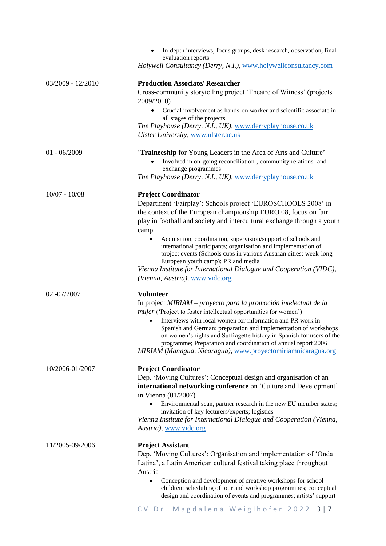|                     | In-depth interviews, focus groups, desk research, observation, final<br>evaluation reports<br>Holywell Consultancy (Derry, N.I.), www.holywellconsultancy.com                                                                                                                                                                                                                                                      |
|---------------------|--------------------------------------------------------------------------------------------------------------------------------------------------------------------------------------------------------------------------------------------------------------------------------------------------------------------------------------------------------------------------------------------------------------------|
| $03/2009 - 12/2010$ | <b>Production Associate/ Researcher</b><br>Cross-community storytelling project 'Theatre of Witness' (projects                                                                                                                                                                                                                                                                                                     |
|                     | 2009/2010)                                                                                                                                                                                                                                                                                                                                                                                                         |
|                     | Crucial involvement as hands-on worker and scientific associate in<br>all stages of the projects                                                                                                                                                                                                                                                                                                                   |
|                     | The Playhouse (Derry, N.I., UK), www.derryplayhouse.co.uk<br>Ulster University, www.ulster.ac.uk                                                                                                                                                                                                                                                                                                                   |
| $01 - 06/2009$      | <b>Traineeship</b> for Young Leaders in the Area of Arts and Culture'                                                                                                                                                                                                                                                                                                                                              |
|                     | Involved in on-going reconciliation-, community relations- and<br>exchange programmes                                                                                                                                                                                                                                                                                                                              |
|                     | The Playhouse (Derry, N.I., UK), www.derryplayhouse.co.uk                                                                                                                                                                                                                                                                                                                                                          |
| $10/07 - 10/08$     | <b>Project Coordinator</b>                                                                                                                                                                                                                                                                                                                                                                                         |
|                     | Department 'Fairplay': Schools project 'EUROSCHOOLS 2008' in                                                                                                                                                                                                                                                                                                                                                       |
|                     | the context of the European championship EURO 08, focus on fair<br>play in football and society and intercultural exchange through a youth                                                                                                                                                                                                                                                                         |
|                     | camp                                                                                                                                                                                                                                                                                                                                                                                                               |
|                     | Acquisition, coordination, supervision/support of schools and<br>international participants; organisation and implementation of<br>project events (Schools cups in various Austrian cities; week-long<br>European youth camp); PR and media                                                                                                                                                                        |
|                     | Vienna Institute for International Dialogue and Cooperation (VIDC),                                                                                                                                                                                                                                                                                                                                                |
|                     | (Vienna, Austria), www.vidc.org                                                                                                                                                                                                                                                                                                                                                                                    |
| 02 -07/2007         | <b>Volunteer</b>                                                                                                                                                                                                                                                                                                                                                                                                   |
|                     | In project MIRIAM – proyecto para la promoción intelectual de la                                                                                                                                                                                                                                                                                                                                                   |
|                     | <i>mujer</i> ('Project to foster intellectual opportunities for women')<br>Interviews with local women for information and PR work in<br>Spanish and German; preparation and implementation of workshops<br>on women's rights and Suffragette history in Spanish for users of the<br>programme; Preparation and coordination of annual report 2006<br>MIRIAM (Managua, Nicaragua), www.proyectomiriamnicaragua.org |
| 10/2006-01/2007     | <b>Project Coordinator</b>                                                                                                                                                                                                                                                                                                                                                                                         |
|                     | Dep. 'Moving Cultures': Conceptual design and organisation of an<br>international networking conference on 'Culture and Development'<br>in Vienna (01/2007)                                                                                                                                                                                                                                                        |
|                     | Environmental scan, partner research in the new EU member states;<br>invitation of key lecturers/experts; logistics                                                                                                                                                                                                                                                                                                |
|                     | Vienna Institute for International Dialogue and Cooperation (Vienna,<br>Austria), www.vidc.org                                                                                                                                                                                                                                                                                                                     |
| 11/2005-09/2006     | <b>Project Assistant</b><br>Dep. 'Moving Cultures': Organisation and implementation of 'Onda<br>Latina', a Latin American cultural festival taking place throughout                                                                                                                                                                                                                                                |
|                     | Austria<br>Conception and development of creative workshops for school<br>children; scheduling of tour and workshop programmes; conceptual<br>design and coordination of events and programmes; artists' support                                                                                                                                                                                                   |
|                     | CV Dr. Magdalena Weiglhofer 2022 3   7                                                                                                                                                                                                                                                                                                                                                                             |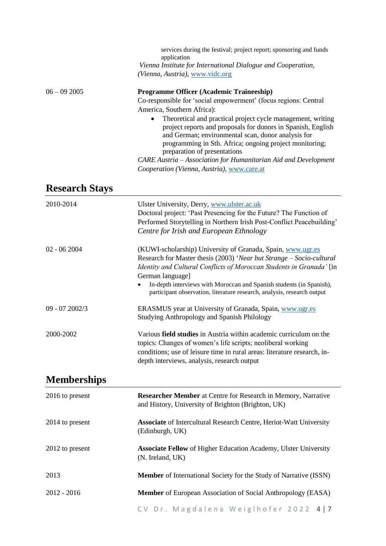|                       | services during the festival; project report; sponsoring and funds<br>application<br>Vienna Institute for International Dialogue and Cooperation,<br>(Vienna, Austria), www.vidc.org                                                                                                                                                                                                                                                                                                                                                              |
|-----------------------|---------------------------------------------------------------------------------------------------------------------------------------------------------------------------------------------------------------------------------------------------------------------------------------------------------------------------------------------------------------------------------------------------------------------------------------------------------------------------------------------------------------------------------------------------|
| $06 - 092005$         | <b>Programme Officer (Academic Traineeship)</b><br>Co-responsible for 'social empowerment' (focus regions: Central<br>America, Southern Africa):<br>Theoretical and practical project cycle management, writing<br>project reports and proposals for donors in Spanish, English<br>and German; environmental scan, donor analysis for<br>programming in Sth. Africa; ongoing project monitoring;<br>preparation of presentations<br>CARE Austria - Association for Humanitarian Aid and Development<br>Cooperation (Vienna, Austria), www.care.at |
| <b>Research Stays</b> |                                                                                                                                                                                                                                                                                                                                                                                                                                                                                                                                                   |
| 2010-2014             | Ulster University, Derry, www.ulster.ac.uk<br>Doctoral project: 'Past Presencing for the Future? The Function of<br>Performed Storytelling in Northern Irish Post-Conflict Peacebuilding'<br>Centre for Irish and European Ethnology                                                                                                                                                                                                                                                                                                              |
| $02 - 062004$         | (KUWI-scholarship) University of Granada, Spain, www.ugr.es<br>Research for Master thesis (2003) 'Near but Strange – Socio-cultural<br>Identity and Cultural Conflicts of Moroccan Students in Granada' [in<br>German language]<br>In-depth interviews with Moroccan and Spanish students (in Spanish),<br>participant observation, literature research, analysis, research output                                                                                                                                                                |
| $09 - 072002/3$       | ERASMUS year at University of Granada, Spain, www.ugr.es<br>Studying Anthropology and Spanish Philology                                                                                                                                                                                                                                                                                                                                                                                                                                           |
| 2000-2002             | Various field studies in Austria within academic curriculum on the<br>topics: Changes of women's life scripts; neoliberal working<br>conditions; use of leisure time in rural areas: literature research, in-<br>depth interviews, analysis, research output                                                                                                                                                                                                                                                                                      |
| <b>Memberships</b>    |                                                                                                                                                                                                                                                                                                                                                                                                                                                                                                                                                   |
| 2016 to present       | <b>Researcher Member</b> at Centre for Research in Memory, Narrative<br>and History, University of Brighton (Brighton, UK)                                                                                                                                                                                                                                                                                                                                                                                                                        |
| 2014 to present       | <b>Associate</b> of Intercultural Research Centre, Heriot-Watt University<br>(Edinburgh, UK)                                                                                                                                                                                                                                                                                                                                                                                                                                                      |
| 2012 to present       | <b>Associate Fellow</b> of Higher Education Academy, Ulster University<br>(N. Ireland, UK)                                                                                                                                                                                                                                                                                                                                                                                                                                                        |
| 2013                  | <b>Member</b> of International Society for the Study of Narrative (ISSN)                                                                                                                                                                                                                                                                                                                                                                                                                                                                          |

2012 - 2016 **Member** of European Association of Social Anthropology (EASA)

CV Dr. Magdalena Weiglhofer 2022 4 | 7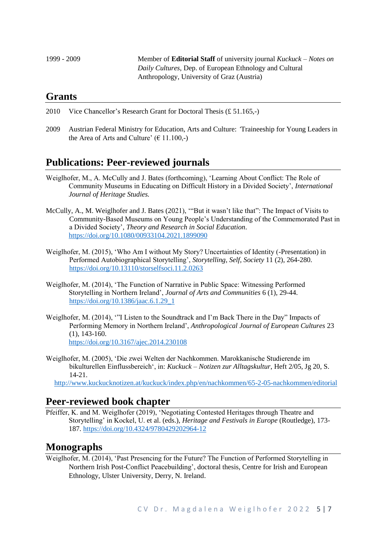| 1999 - 2009 | Member of <b>Editorial Staff</b> of university journal $Kuckuck - Notes$ on |
|-------------|-----------------------------------------------------------------------------|
|             | Daily Cultures, Dep. of European Ethnology and Cultural                     |
|             | Anthropology, University of Graz (Austria)                                  |

#### **Grants**

2010 Vice Chancellor's Research Grant for Doctoral Thesis (£ 51.165.-)

2009 Austrian Federal Ministry for Education, Arts and Culture: *'*Traineeship for Young Leaders in the Area of Arts and Culture' ( $\epsilon$  11.100,-)

### **Publications: Peer-reviewed journals**

- Weiglhofer, M., A. McCully and J. Bates (forthcoming), 'Learning About Conflict: The Role of Community Museums in Educating on Difficult History in a Divided Society', *International Journal of Heritage Studies.*
- McCully, A., M. Weiglhofer and J. Bates (2021), '"But it wasn't like that": The Impact of Visits to Community-Based Museums on Young People's Understanding of the Commemorated Past in a Divided Society', *Theory and Research in Social Education*. <https://doi.org/10.1080/00933104.2021.1899090>
- Weiglhofer, M. (2015), 'Who Am I without My Story? Uncertainties of Identity (-Presentation) in Performed Autobiographical Storytelling', *Storytelling, Self, Society* 11 (2), 264-280. <https://doi.org/10.13110/storselfsoci.11.2.0263>
- Weiglhofer, M. (2014), 'The Function of Narrative in Public Space: Witnessing Performed Storytelling in Northern Ireland', *Journal of Arts and Communities* 6 (1), 29-44. [https://doi.org/10.1386/jaac.6.1.29\\_1](https://doi.org/10.1386/jaac.6.1.29_1)
- Weiglhofer, M. (2014), '"I Listen to the Soundtrack and I'm Back There in the Day" Impacts of Performing Memory in Northern Ireland', *Anthropological Journal of European Cultures* 23 (1), 143-160. <https://doi.org/10.3167/ajec.2014.230108>
- Weiglhofer, M. (2005), 'Die zwei Welten der Nachkommen. Marokkanische Studierende im bikulturellen Einflussbereich', in: *Kuckuck – Notizen zur Alltagskultur*, Heft 2/05, Jg 20, S. 14-21.

<http://www.kuckucknotizen.at/kuckuck/index.php/en/nachkommen/65-2-05-nachkommen/editorial>

#### **Peer-reviewed book chapter**

Pfeiffer, K. and M. Weiglhofer (2019), 'Negotiating Contested Heritages through Theatre and Storytelling' in Kockel, U. et al. (eds.), *Heritage and Festivals in Europe* (Routledge), 173- 187. <https://doi.org/10.4324/9780429202964-12>

#### **Monographs**

Weiglhofer, M. (2014), 'Past Presencing for the Future? The Function of Performed Storytelling in Northern Irish Post-Conflict Peacebuilding', doctoral thesis, Centre for Irish and European Ethnology, Ulster University, Derry, N. Ireland.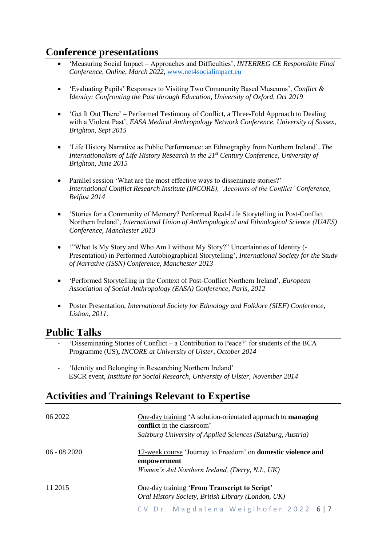## **Conference presentations**

- 'Measuring Social Impact Approaches and Difficulties'*, INTERREG CE Responsible Final Conference, Online, March 2022*, [www.net4socialimpact.eu](http://www.net4socialimpact.eu/)
- 'Evaluating Pupils' Responses to Visiting Two Community Based Museums', *Conflict & Identity: Confronting the Past through Education, University of Oxford, Oct 2019*
- 'Get It Out There' Performed Testimony of Conflict, a Three-Fold Approach to Dealing with a Violent Past', *EASA Medical Anthropology Network Conference, University of Sussex, Brighton, Sept 2015*
- 'Life History Narrative as Public Performance: an Ethnography from Northern Ireland', *The Internationalism of Life History Research in the 21st Century Conference, University of Brighton, June 2015*
- Parallel session 'What are the most effective ways to disseminate stories?' *International Conflict Research Institute (INCORE), 'Accounts of the Conflict' Conference, Belfast 2014*
- 'Stories for a Community of Memory? Performed Real-Life Storytelling in Post-Conflict Northern Ireland', *International Union of Anthropological and Ethnological Science (IUAES) Conference, Manchester 2013*
- "What Is My Story and Who Am I without My Story?" Uncertainties of Identity (-Presentation) in Performed Autobiographical Storytelling', *International Society for the Study of Narrative (ISSN) Conference, Manchester 2013*
- 'Performed Storytelling in the Context of Post-Conflict Northern Ireland', *European Association of Social Anthropology (EASA) Conference, Paris, 2012*
- Poster Presentation, *International Society for Ethnology and Folklore (SIEF) Conference, Lisbon, 2011.*

## **Public Talks**

- 'Disseminating Stories of Conflict a Contribution to Peace?' for students of the BCA Programme (US)**,** *INCORE at University of Ulster, October 2014*
- 'Identity and Belonging in Researching Northern Ireland' ESCR event, *Institute for Social Research, University of Ulster, November 2014*

## **Activities and Trainings Relevant to Expertise**

| 06 2022      | One-day training 'A solution-orientated approach to managing<br>conflict in the classroom'                                            |
|--------------|---------------------------------------------------------------------------------------------------------------------------------------|
|              | Salzburg University of Applied Sciences (Salzburg, Austria)                                                                           |
| 06 - 08 2020 | 12-week course 'Journey to Freedom' on <b>domestic violence and</b><br>empowerment<br>Women's Aid Northern Ireland, (Derry, N.I., UK) |
|              |                                                                                                                                       |
| 11 2015      | <b>One-day training 'From Transcript to Script'</b><br>Oral History Society, British Library (London, UK)                             |
|              | CV Dr. Magdalena Weiglhofer 2022 6   7                                                                                                |